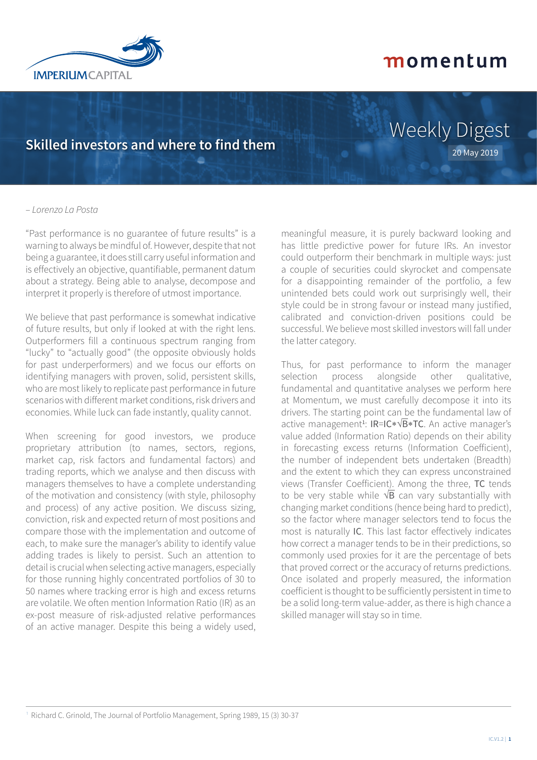

## **Skilled investors and where to find them**

## Weekly Digest 20 May 2019

#### – *Lorenzo La Posta*

"Past performance is no guarantee of future results" is a warning to always be mindful of. However, despite that not being a guarantee, it does still carry useful information and is effectively an objective, quantifiable, permanent datum about a strategy. Being able to analyse, decompose and interpret it properly is therefore of utmost importance.

We believe that past performance is somewhat indicative of future results, but only if looked at with the right lens. Outperformers fill a continuous spectrum ranging from "lucky" to "actually good" (the opposite obviously holds for past underperformers) and we focus our efforts on identifying managers with proven, solid, persistent skills, who are most likely to replicate past performance in future scenarios with different market conditions, risk drivers and economies. While luck can fade instantly, quality cannot.

When screening for good investors, we produce proprietary attribution (to names, sectors, regions, market cap, risk factors and fundamental factors) and trading reports, which we analyse and then discuss with managers themselves to have a complete understanding of the motivation and consistency (with style, philosophy and process) of any active position. We discuss sizing, conviction, risk and expected return of most positions and compare those with the implementation and outcome of each, to make sure the manager's ability to identify value adding trades is likely to persist. Such an attention to detail is crucial when selecting active managers, especially for those running highly concentrated portfolios of 30 to 50 names where tracking error is high and excess returns are volatile. We often mention Information Ratio (IR) as an ex-post measure of risk-adjusted relative performances of an active manager. Despite this being a widely used, meaningful measure, it is purely backward looking and has little predictive power for future IRs. An investor could outperform their benchmark in multiple ways: just a couple of securities could skyrocket and compensate for a disappointing remainder of the portfolio, a few unintended bets could work out surprisingly well, their style could be in strong favour or instead many justified, calibrated and conviction-driven positions could be successful. We believe most skilled investors will fall under the latter category.

Thus, for past performance to inform the manager selection process alongside other qualitative, fundamental and quantitative analyses we perform here at Momentum, we must carefully decompose it into its drivers. The starting point can be the fundamental law of active management<sup>1</sup>: IR=IC\*√B\*TC. An active manager's value added (Information Ratio) depends on their ability in forecasting excess returns (Information Coefficient), the number of independent bets undertaken (Breadth) and the extent to which they can express unconstrained views (Transfer Coefficient). Among the three, TC tends to be very stable while  $\sqrt{B}$  can vary substantially with changing market conditions (hence being hard to predict), so the factor where manager selectors tend to focus the most is naturally IC. This last factor effectively indicates how correct a manager tends to be in their predictions, so commonly used proxies for it are the percentage of bets that proved correct or the accuracy of returns predictions. Once isolated and properly measured, the information coefficient is thought to be sufficiently persistent in time to be a solid long-term value-adder, as there is high chance a skilled manager will stay so in time.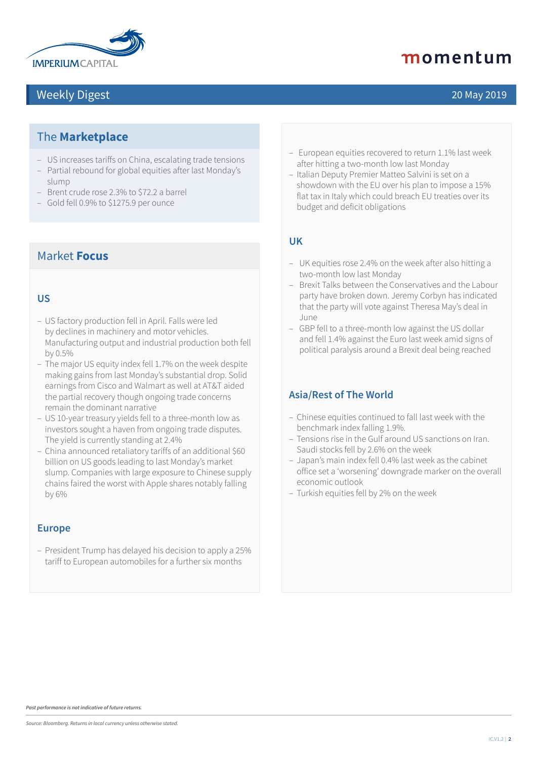

### Weekly Digest 20 May 2019

## momentum

### The **Marketplace**

- US increases tariffs on China, escalating trade tensions
- Partial rebound for global equities after last Monday's slump
- Brent crude rose 2.3% to \$72.2 a barrel
- Gold fell 0.9% to \$1275.9 per ounce

### Market **Focus**

#### **US**

- US factory production fell in April. Falls were led by declines in machinery and motor vehicles. Manufacturing output and industrial production both fell by 0.5%
- The major US equity index fell 1.7% on the week despite making gains from last Monday's substantial drop. Solid earnings from Cisco and Walmart as well at AT&T aided the partial recovery though ongoing trade concerns remain the dominant narrative
- US 10-year treasury yields fell to a three-month low as investors sought a haven from ongoing trade disputes. The yield is currently standing at 2.4%
- China announced retaliatory tariffs of an additional \$60 billion on US goods leading to last Monday's market slump. Companies with large exposure to Chinese supply chains faired the worst with Apple shares notably falling by 6%

#### **Europe**

– President Trump has delayed his decision to apply a 25% tariff to European automobiles for a further six months

- European equities recovered to return 1.1% last week after hitting a two-month low last Monday
- Italian Deputy Premier Matteo Salvini is set on a showdown with the EU over his plan to impose a 15% flat tax in Italy which could breach EU treaties over its budget and deficit obligations

#### **UK**

- UK equities rose 2.4% on the week after also hitting a two-month low last Monday
- Brexit Talks between the Conservatives and the Labour party have broken down. Jeremy Corbyn has indicated that the party will vote against Theresa May's deal in June
- GBP fell to a three-month low against the US dollar and fell 1.4% against the Euro last week amid signs of political paralysis around a Brexit deal being reached

#### **Asia/Rest of The World**

- Chinese equities continued to fall last week with the benchmark index falling 1.9%.
- Tensions rise in the Gulf around US sanctions on Iran. Saudi stocks fell by 2.6% on the week
- Japan's main index fell 0.4% last week as the cabinet office set a 'worsening' downgrade marker on the overall economic outlook
- Turkish equities fell by 2% on the week

*Past performance is not indicative of future returns.*

*Source: Bloomberg. Returns in local currency unless otherwise stated.*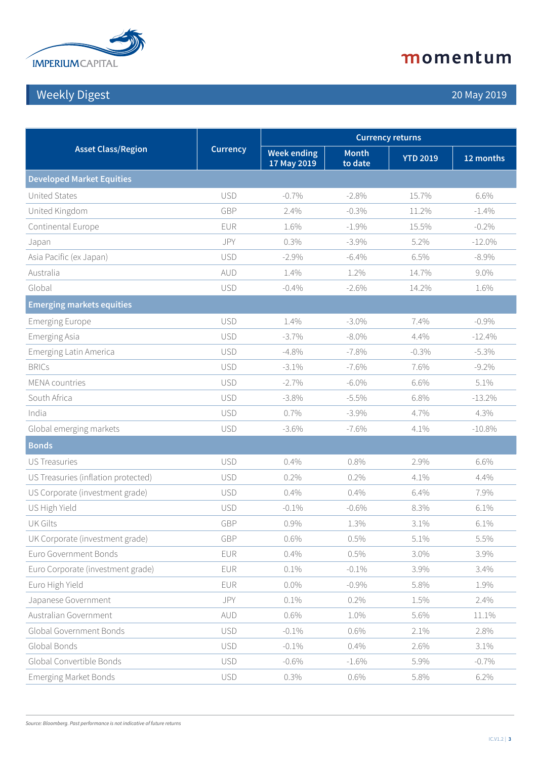

## Weekly Digest 20 May 2019

| <b>Asset Class/Region</b>           | <b>Currency</b> | <b>Currency returns</b>           |                         |                 |           |  |
|-------------------------------------|-----------------|-----------------------------------|-------------------------|-----------------|-----------|--|
|                                     |                 | <b>Week ending</b><br>17 May 2019 | <b>Month</b><br>to date | <b>YTD 2019</b> | 12 months |  |
| <b>Developed Market Equities</b>    |                 |                                   |                         |                 |           |  |
| <b>United States</b>                | <b>USD</b>      | $-0.7%$                           | $-2.8%$                 | 15.7%           | 6.6%      |  |
| United Kingdom                      | GBP             | 2.4%                              | $-0.3%$                 | 11.2%           | $-1.4%$   |  |
| Continental Europe                  | EUR             | 1.6%                              | $-1.9%$                 | 15.5%           | $-0.2%$   |  |
| Japan                               | JPY             | 0.3%                              | $-3.9\%$                | 5.2%            | $-12.0\%$ |  |
| Asia Pacific (ex Japan)             | <b>USD</b>      | $-2.9%$                           | $-6.4\%$                | 6.5%            | $-8.9\%$  |  |
| Australia                           | AUD             | 1.4%                              | 1.2%                    | 14.7%           | 9.0%      |  |
| Global                              | <b>USD</b>      | $-0.4%$                           | $-2.6%$                 | 14.2%           | 1.6%      |  |
| <b>Emerging markets equities</b>    |                 |                                   |                         |                 |           |  |
| <b>Emerging Europe</b>              | <b>USD</b>      | 1.4%                              | $-3.0\%$                | 7.4%            | $-0.9%$   |  |
| <b>Emerging Asia</b>                | <b>USD</b>      | $-3.7\%$                          | $-8.0\%$                | 4.4%            | $-12.4%$  |  |
| Emerging Latin America              | <b>USD</b>      | $-4.8%$                           | $-7.8%$                 | $-0.3%$         | $-5.3%$   |  |
| <b>BRICs</b>                        | <b>USD</b>      | $-3.1\%$                          | $-7.6%$                 | 7.6%            | $-9.2%$   |  |
| <b>MENA</b> countries               | <b>USD</b>      | $-2.7%$                           | $-6.0\%$                | 6.6%            | 5.1%      |  |
| South Africa                        | <b>USD</b>      | $-3.8\%$                          | $-5.5\%$                | 6.8%            | $-13.2%$  |  |
| India                               | <b>USD</b>      | 0.7%                              | $-3.9%$                 | 4.7%            | 4.3%      |  |
| Global emerging markets             | <b>USD</b>      | $-3.6%$                           | $-7.6\%$                | 4.1%            | $-10.8%$  |  |
| <b>Bonds</b>                        |                 |                                   |                         |                 |           |  |
| <b>US Treasuries</b>                | <b>USD</b>      | 0.4%                              | 0.8%                    | 2.9%            | 6.6%      |  |
| US Treasuries (inflation protected) | <b>USD</b>      | 0.2%                              | 0.2%                    | 4.1%            | 4.4%      |  |
| US Corporate (investment grade)     | <b>USD</b>      | 0.4%                              | 0.4%                    | 6.4%            | 7.9%      |  |
| US High Yield                       | <b>USD</b>      | $-0.1\%$                          | $-0.6\%$                | 8.3%            | 6.1%      |  |
| <b>UK Gilts</b>                     | GBP             | 0.9%                              | 1.3%                    | 3.1%            | 6.1%      |  |
| UK Corporate (investment grade)     | GBP             | 0.6%                              | 0.5%                    | 5.1%            | 5.5%      |  |
| Euro Government Bonds               | EUR             | 0.4%                              | 0.5%                    | 3.0%            | 3.9%      |  |
| Euro Corporate (investment grade)   | EUR             | 0.1%                              | $-0.1\%$                | 3.9%            | 3.4%      |  |
| Euro High Yield                     | EUR             | $0.0\%$                           | $-0.9\%$                | 5.8%            | 1.9%      |  |
| Japanese Government                 | JPY             | 0.1%                              | 0.2%                    | 1.5%            | 2.4%      |  |
| Australian Government               | AUD             | 0.6%                              | 1.0%                    | 5.6%            | 11.1%     |  |
| Global Government Bonds             | <b>USD</b>      | $-0.1\%$                          | 0.6%                    | 2.1%            | 2.8%      |  |
| Global Bonds                        | <b>USD</b>      | $-0.1\%$                          | 0.4%                    | 2.6%            | 3.1%      |  |
| Global Convertible Bonds            | <b>USD</b>      | $-0.6%$                           | $-1.6%$                 | 5.9%            | $-0.7%$   |  |
| <b>Emerging Market Bonds</b>        | <b>USD</b>      | 0.3%                              | 0.6%                    | 5.8%            | 6.2%      |  |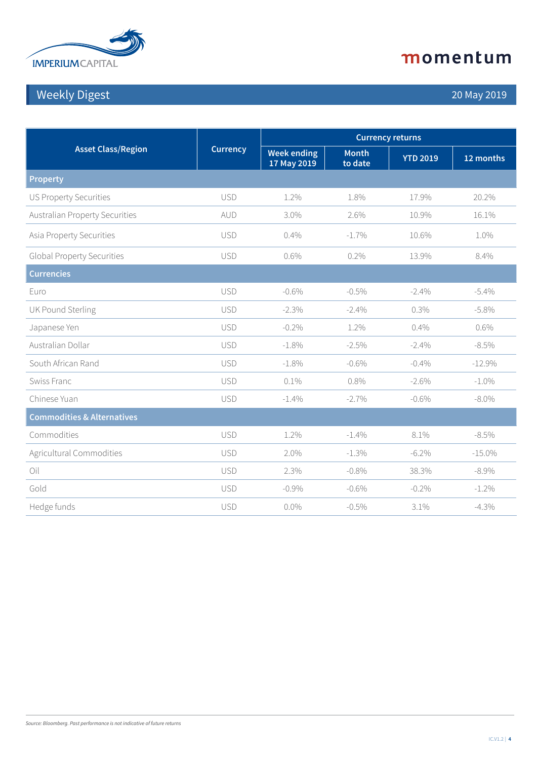

## Weekly Digest 20 May 2019

| <b>Asset Class/Region</b>             | <b>Currency</b> | <b>Currency returns</b>           |                         |                 |           |
|---------------------------------------|-----------------|-----------------------------------|-------------------------|-----------------|-----------|
|                                       |                 | <b>Week ending</b><br>17 May 2019 | <b>Month</b><br>to date | <b>YTD 2019</b> | 12 months |
| <b>Property</b>                       |                 |                                   |                         |                 |           |
| <b>US Property Securities</b>         | <b>USD</b>      | 1.2%                              | 1.8%                    | 17.9%           | 20.2%     |
| <b>Australian Property Securities</b> | AUD             | 3.0%                              | 2.6%                    | 10.9%           | 16.1%     |
| Asia Property Securities              | <b>USD</b>      | 0.4%                              | $-1.7\%$                | 10.6%           | 1.0%      |
| <b>Global Property Securities</b>     | <b>USD</b>      | 0.6%                              | 0.2%                    | 13.9%           | 8.4%      |
| <b>Currencies</b>                     |                 |                                   |                         |                 |           |
| Euro                                  | <b>USD</b>      | $-0.6%$                           | $-0.5%$                 | $-2.4%$         | $-5.4\%$  |
| <b>UK Pound Sterling</b>              | <b>USD</b>      | $-2.3%$                           | $-2.4%$                 | 0.3%            | $-5.8\%$  |
| Japanese Yen                          | <b>USD</b>      | $-0.2\%$                          | 1.2%                    | 0.4%            | 0.6%      |
| Australian Dollar                     | <b>USD</b>      | $-1.8%$                           | $-2.5%$                 | $-2.4%$         | $-8.5%$   |
| South African Rand                    | <b>USD</b>      | $-1.8%$                           | $-0.6%$                 | $-0.4\%$        | $-12.9%$  |
| Swiss Franc                           | <b>USD</b>      | 0.1%                              | 0.8%                    | $-2.6%$         | $-1.0\%$  |
| Chinese Yuan                          | <b>USD</b>      | $-1.4\%$                          | $-2.7%$                 | $-0.6%$         | $-8.0\%$  |
| <b>Commodities &amp; Alternatives</b> |                 |                                   |                         |                 |           |
| Commodities                           | <b>USD</b>      | 1.2%                              | $-1.4\%$                | 8.1%            | $-8.5%$   |
| Agricultural Commodities              | <b>USD</b>      | 2.0%                              | $-1.3%$                 | $-6.2\%$        | $-15.0\%$ |
| Oil                                   | <b>USD</b>      | 2.3%                              | $-0.8%$                 | 38.3%           | $-8.9\%$  |
| Gold                                  | <b>USD</b>      | $-0.9%$                           | $-0.6%$                 | $-0.2%$         | $-1.2\%$  |
| Hedge funds                           | <b>USD</b>      | $0.0\%$                           | $-0.5%$                 | 3.1%            | $-4.3\%$  |